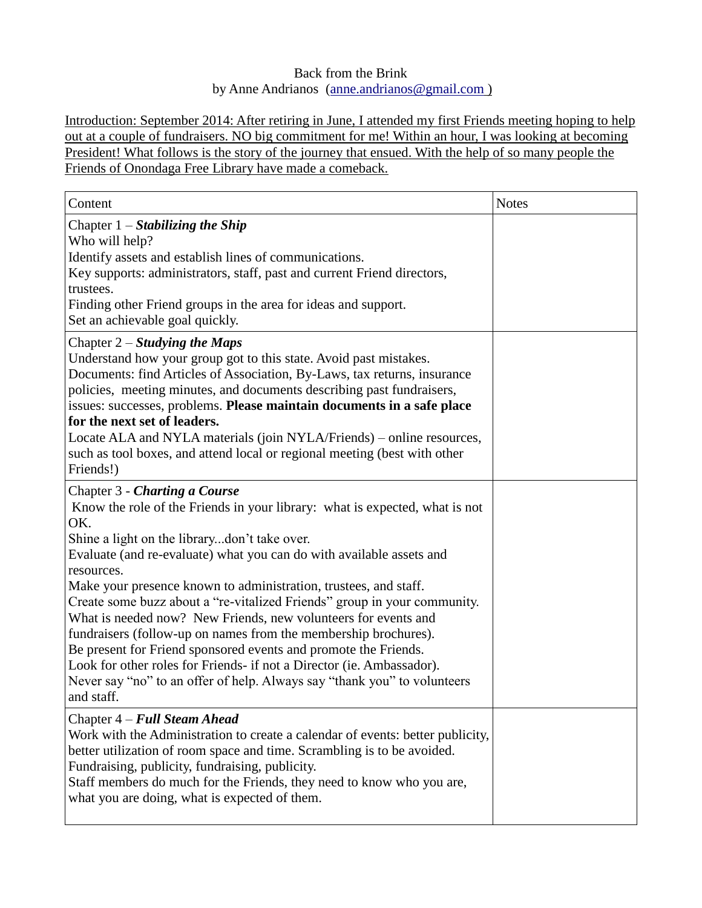# Back from the Brink by Anne Andrianos [\(anne.andrianos@gmail.com](mailto:anne.andrianos@gmail.com) )

Introduction: September 2014: After retiring in June, I attended my first Friends meeting hoping to help out at a couple of fundraisers. NO big commitment for me! Within an hour, I was looking at becoming President! What follows is the story of the journey that ensued. With the help of so many people the Friends of Onondaga Free Library have made a comeback.

| Content                                                                                                                                                                                                                                                                                                                                                                                                                                                                                                                                                                                                                                                                                                                                                                              | <b>Notes</b> |
|--------------------------------------------------------------------------------------------------------------------------------------------------------------------------------------------------------------------------------------------------------------------------------------------------------------------------------------------------------------------------------------------------------------------------------------------------------------------------------------------------------------------------------------------------------------------------------------------------------------------------------------------------------------------------------------------------------------------------------------------------------------------------------------|--------------|
| Chapter $1 -$ Stabilizing the Ship<br>Who will help?<br>Identify assets and establish lines of communications.<br>Key supports: administrators, staff, past and current Friend directors,<br>trustees.<br>Finding other Friend groups in the area for ideas and support.<br>Set an achievable goal quickly.                                                                                                                                                                                                                                                                                                                                                                                                                                                                          |              |
| Chapter $2$ – Studying the Maps<br>Understand how your group got to this state. Avoid past mistakes.<br>Documents: find Articles of Association, By-Laws, tax returns, insurance<br>policies, meeting minutes, and documents describing past fundraisers,<br>issues: successes, problems. Please maintain documents in a safe place<br>for the next set of leaders.<br>Locate ALA and NYLA materials (join NYLA/Friends) – online resources,<br>such as tool boxes, and attend local or regional meeting (best with other<br>Friends!)                                                                                                                                                                                                                                               |              |
| Chapter 3 - Charting a Course<br>Know the role of the Friends in your library: what is expected, what is not<br>OK.<br>Shine a light on the librarydon't take over.<br>Evaluate (and re-evaluate) what you can do with available assets and<br>resources.<br>Make your presence known to administration, trustees, and staff.<br>Create some buzz about a "re-vitalized Friends" group in your community.<br>What is needed now? New Friends, new volunteers for events and<br>fundraisers (follow-up on names from the membership brochures).<br>Be present for Friend sponsored events and promote the Friends.<br>Look for other roles for Friends- if not a Director (ie. Ambassador).<br>Never say "no" to an offer of help. Always say "thank you" to volunteers<br>and staff. |              |
| Chapter 4 – Full Steam Ahead<br>Work with the Administration to create a calendar of events: better publicity,<br>better utilization of room space and time. Scrambling is to be avoided.<br>Fundraising, publicity, fundraising, publicity.<br>Staff members do much for the Friends, they need to know who you are,<br>what you are doing, what is expected of them.                                                                                                                                                                                                                                                                                                                                                                                                               |              |